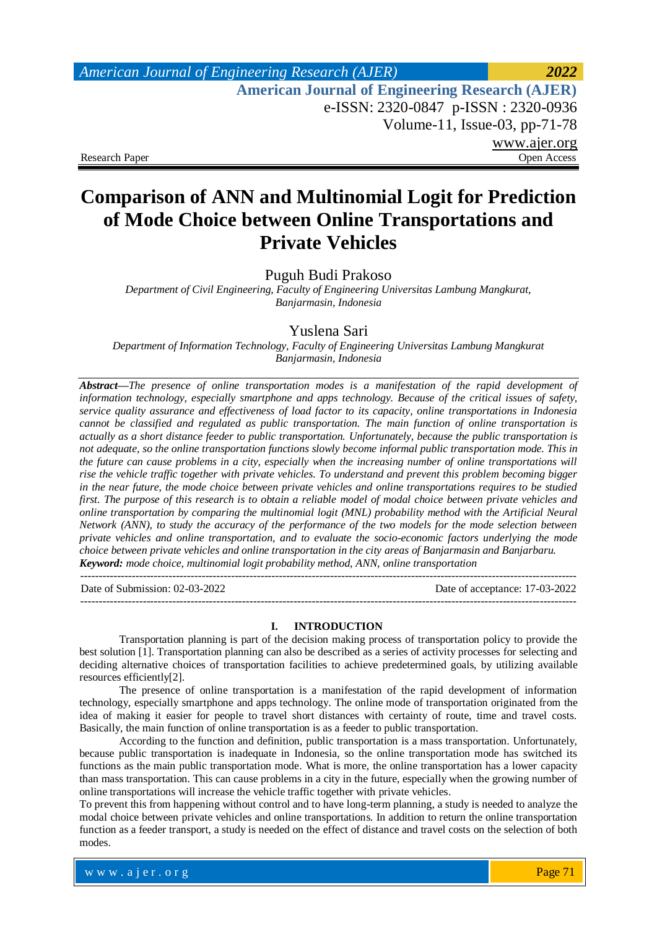## *American Journal of Engineering Research (AJER) 2022*  **American Journal of Engineering Research (AJER)** e-ISSN: 2320-0847 p-ISSN : 2320-0936 Volume-11, Issue-03, pp-71-78 www.ajer.org Research Paper Open Access

# **Comparison of ANN and Multinomial Logit for Prediction of Mode Choice between Online Transportations and Private Vehicles**

Puguh Budi Prakoso

*Department of Civil Engineering, Faculty of Engineering Universitas Lambung Mangkurat, Banjarmasin, Indonesia*

Yuslena Sari

*Department of Information Technology, Faculty of Engineering Universitas Lambung Mangkurat Banjarmasin, Indonesia*

*Abstract—The presence of online transportation modes is a manifestation of the rapid development of information technology, especially smartphone and apps technology. Because of the critical issues of safety, service quality assurance and effectiveness of load factor to its capacity, online transportations in Indonesia cannot be classified and regulated as public transportation. The main function of online transportation is actually as a short distance feeder to public transportation. Unfortunately, because the public transportation is not adequate, so the online transportation functions slowly become informal public transportation mode. This in the future can cause problems in a city, especially when the increasing number of online transportations will rise the vehicle traffic together with private vehicles. To understand and prevent this problem becoming bigger in the near future, the mode choice between private vehicles and online transportations requires to be studied first. The purpose of this research is to obtain a reliable model of modal choice between private vehicles and online transportation by comparing the multinomial logit (MNL) probability method with the Artificial Neural Network (ANN), to study the accuracy of the performance of the two models for the mode selection between private vehicles and online transportation, and to evaluate the socio-economic factors underlying the mode choice between private vehicles and online transportation in the city areas of Banjarmasin and Banjarbaru. Keyword: mode choice, multinomial logit probability method, ANN, online transportation*

Date of Submission: 02-03-2022 Date of acceptance: 17-03-2022

---------------------------------------------------------------------------------------------------------------------------------------

#### **I. INTRODUCTION**

---------------------------------------------------------------------------------------------------------------------------------------

Transportation planning is part of the decision making process of transportation policy to provide the best solution [1]. Transportation planning can also be described as a series of activity processes for selecting and deciding alternative choices of transportation facilities to achieve predetermined goals, by utilizing available resources efficiently[2].

The presence of online transportation is a manifestation of the rapid development of information technology, especially smartphone and apps technology. The online mode of transportation originated from the idea of making it easier for people to travel short distances with certainty of route, time and travel costs. Basically, the main function of online transportation is as a feeder to public transportation.

According to the function and definition, public transportation is a mass transportation. Unfortunately, because public transportation is inadequate in Indonesia, so the online transportation mode has switched its functions as the main public transportation mode. What is more, the online transportation has a lower capacity than mass transportation. This can cause problems in a city in the future, especially when the growing number of online transportations will increase the vehicle traffic together with private vehicles.

To prevent this from happening without control and to have long-term planning, a study is needed to analyze the modal choice between private vehicles and online transportations. In addition to return the online transportation function as a feeder transport, a study is needed on the effect of distance and travel costs on the selection of both modes.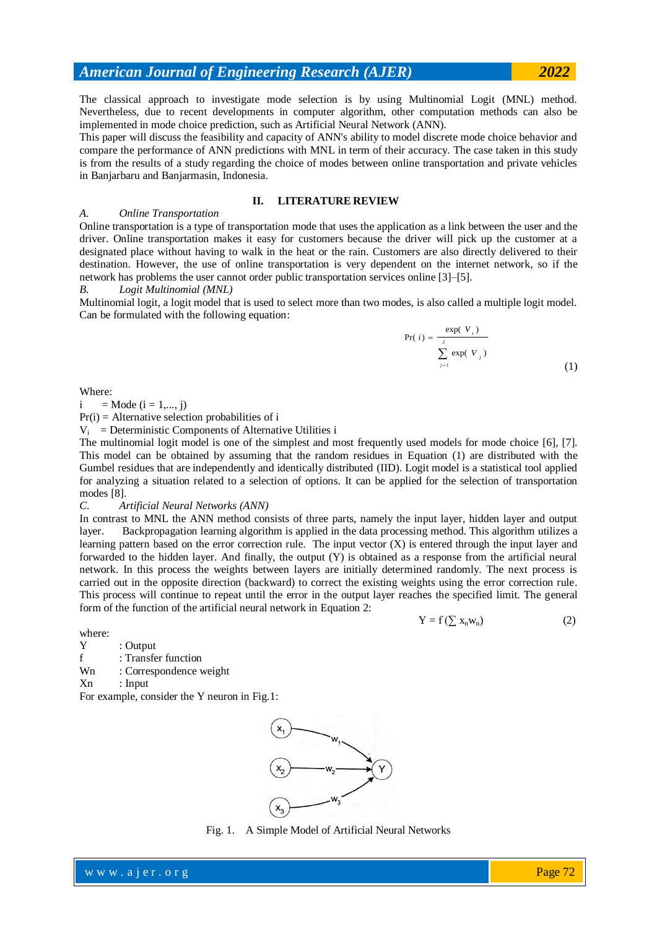The classical approach to investigate mode selection is by using Multinomial Logit (MNL) method. Nevertheless, due to recent developments in computer algorithm, other computation methods can also be implemented in mode choice prediction, such as Artificial Neural Network (ANN).

This paper will discuss the feasibility and capacity of ANN's ability to model discrete mode choice behavior and compare the performance of ANN predictions with MNL in term of their accuracy. The case taken in this study is from the results of a study regarding the choice of modes between online transportation and private vehicles in Banjarbaru and Banjarmasin, Indonesia.

### **II. LITERATURE REVIEW**

### *A. Online Transportation*

Online transportation is a type of transportation mode that uses the application as a link between the user and the driver. Online transportation makes it easy for customers because the driver will pick up the customer at a designated place without having to walk in the heat or the rain. Customers are also directly delivered to their destination. However, the use of online transportation is very dependent on the internet network, so if the network has problems the user cannot order public transportation services online [3]–[5].

### *B. Logit Multinomial (MNL)*

Multinomial logit, a logit model that is used to select more than two modes, is also called a multiple logit model. Can be formulated with the following equation:

$$
Pr(i) = \frac{\exp(V_i)}{\sum_{j=1}^{J} \exp(V_j)}
$$
\n(1)

 $Y = f(\sum x_n w_n)$  (2)

### Where:

i = Mode ( $i = 1,..., i$ )

 $Pr(i) =$  Alternative selection probabilities of i

 $V_i$  = Deterministic Components of Alternative Utilities i

The multinomial logit model is one of the simplest and most frequently used models for mode choice [6], [7]. This model can be obtained by assuming that the random residues in Equation (1) are distributed with the Gumbel residues that are independently and identically distributed (IID). Logit model is a statistical tool applied for analyzing a situation related to a selection of options. It can be applied for the selection of transportation modes [8].

### *C. Artificial Neural Networks (ANN)*

In contrast to MNL the ANN method consists of three parts, namely the input layer, hidden layer and output layer. Backpropagation learning algorithm is applied in the data processing method. This algorithm utilizes a learning pattern based on the error correction rule. The input vector (X) is entered through the input layer and forwarded to the hidden layer. And finally, the output (Y) is obtained as a response from the artificial neural network. In this process the weights between layers are initially determined randomly. The next process is carried out in the opposite direction (backward) to correct the existing weights using the error correction rule. This process will continue to repeat until the error in the output layer reaches the specified limit. The general form of the function of the artificial neural network in Equation 2:

where:

Y : Output

f : Transfer function

Wn : Correspondence weight

Xn : Input

For example, consider the Y neuron in Fig.1:



Fig. 1. A Simple Model of Artificial Neural Networks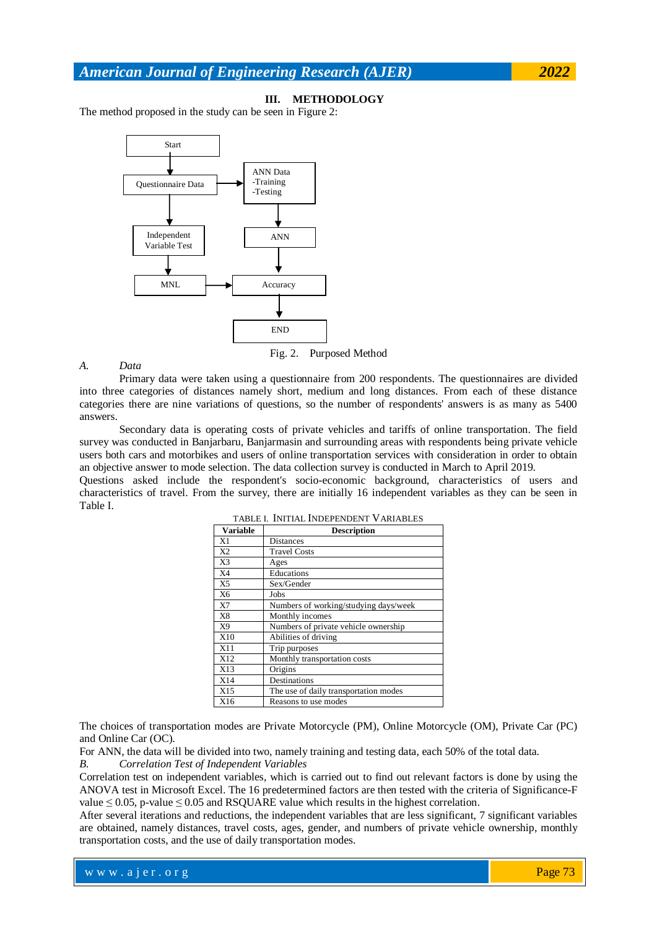### **III. METHODOLOGY**

The method proposed in the study can be seen in Figure 2:



Fig. 2. Purposed Method

*A. Data*

Primary data were taken using a questionnaire from 200 respondents. The questionnaires are divided into three categories of distances namely short, medium and long distances. From each of these distance categories there are nine variations of questions, so the number of respondents' answers is as many as 5400 answers.

Secondary data is operating costs of private vehicles and tariffs of online transportation. The field survey was conducted in Banjarbaru, Banjarmasin and surrounding areas with respondents being private vehicle users both cars and motorbikes and users of online transportation services with consideration in order to obtain an objective answer to mode selection. The data collection survey is conducted in March to April 2019.

Questions asked include the respondent's socio-economic background, characteristics of users and characteristics of travel. From the survey, there are initially 16 independent variables as they can be seen in Table I.

| <b>Variable</b> | <b>Description</b>                    |  |  |  |  |  |
|-----------------|---------------------------------------|--|--|--|--|--|
| X1              | Distances                             |  |  |  |  |  |
| X2              | <b>Travel Costs</b>                   |  |  |  |  |  |
| X3              | Ages                                  |  |  |  |  |  |
| X4              | Educations                            |  |  |  |  |  |
| X <sub>5</sub>  | Sex/Gender                            |  |  |  |  |  |
| X6              | Jobs                                  |  |  |  |  |  |
| X7              | Numbers of working/studying days/week |  |  |  |  |  |
| X8              | Monthly incomes                       |  |  |  |  |  |
| X9              | Numbers of private vehicle ownership  |  |  |  |  |  |
| X10             | Abilities of driving                  |  |  |  |  |  |
| X11             | Trip purposes                         |  |  |  |  |  |
| X12             | Monthly transportation costs          |  |  |  |  |  |
| X13             | Origins                               |  |  |  |  |  |
| X14             | Destinations                          |  |  |  |  |  |
| X15             | The use of daily transportation modes |  |  |  |  |  |
| X16             | Reasons to use modes                  |  |  |  |  |  |

TABLE I. INITIAL INDEPENDENT VARIABLES

The choices of transportation modes are Private Motorcycle (PM), Online Motorcycle (OM), Private Car (PC) and Online Car (OC).

For ANN, the data will be divided into two, namely training and testing data, each 50% of the total data.

where  $\mathcal{L} = \mathcal{L} \left( \mathcal{L} \right)$  is the set of  $\mathcal{L} \left( \mathcal{L} \right)$ 

### *B. Correlation Test of Independent Variables*

Correlation test on independent variables, which is carried out to find out relevant factors is done by using the ANOVA test in Microsoft Excel. The 16 predetermined factors are then tested with the criteria of Significance-F value  $\leq 0.05$ , p-value  $\leq 0.05$  and RSQUARE value which results in the highest correlation.

After several iterations and reductions, the independent variables that are less significant, 7 significant variables are obtained, namely distances, travel costs, ages, gender, and numbers of private vehicle ownership, monthly transportation costs, and the use of daily transportation modes.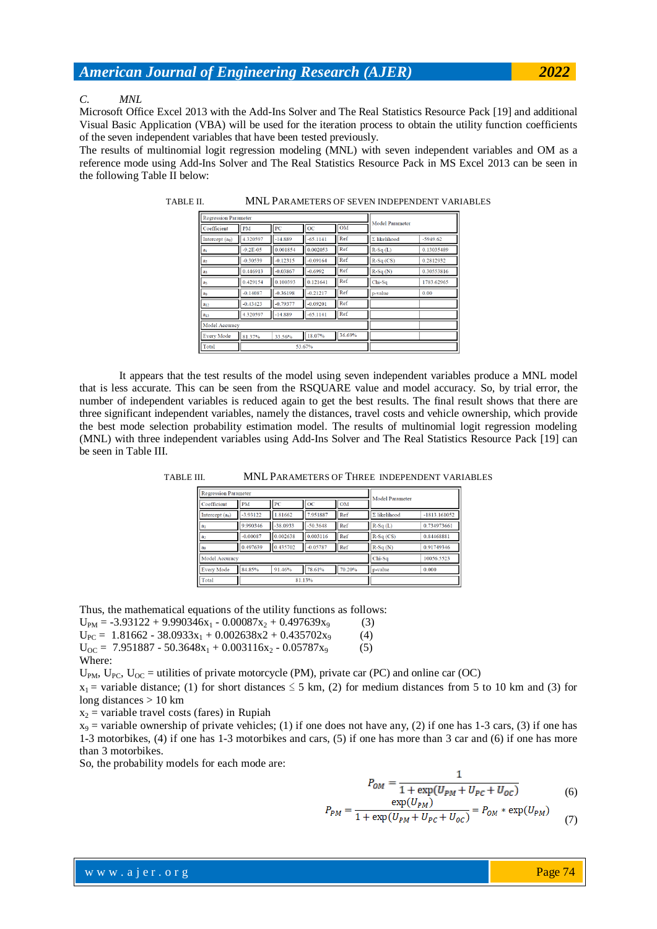#### *C. MNL*

Microsoft Office Excel 2013 with the Add-Ins Solver and The Real Statistics Resource Pack [19] and additional Visual Basic Application (VBA) will be used for the iteration process to obtain the utility function coefficients of the seven independent variables that have been tested previously.

The results of multinomial logit regression modeling (MNL) with seven independent variables and OM as a reference mode using Add-Ins Solver and The Real Statistics Resource Pack in MS Excel 2013 can be seen in the following Table II below:

| <b>Regression Parameter</b> |               |            |            |           |                     |            |
|-----------------------------|---------------|------------|------------|-----------|---------------------|------------|
| Coefficient                 | PM            | PC         | <b>OC</b>  | <b>OM</b> | Model Parameter     |            |
| Intercept $(a0)$            | 4.320597      | $-14.889$  | $-65.1141$ | Ref       | $\Sigma$ likelihood | $-5949.62$ |
| a <sub>1</sub>              | $-9.2E - 0.5$ | 0.001854   | 0.002053   | Ref       | $R-Sq(L)$           | 0.13035489 |
| a <sub>2</sub>              | $-0.30539$    | $-0.12315$ | $-0.09164$ | Ref       | $R-Sq$ (CS)         | 0.2812932  |
| a <sub>3</sub>              | 0.446913      | $-0.03867$ | $-0.6992$  | Ref       | $R-Sq(N)$           | 0.30553816 |
| ak                          | 0.429154      | 0.100393   | 0.121641   | Ref       | Chi-Sq              | 1783.62965 |
| ao                          | $-0.14087$    | $-0.36198$ | $-0.21217$ | Ref       | p-value             | 0.00       |
| $a_{12}$                    | $-0.43423$    | $-0.79377$ | $-0.09201$ | Ref       |                     |            |
| $a_{15}$                    | 4.320597      | $-14.889$  | $-65.1141$ | Ref       |                     |            |
| Model Accuracy              |               |            |            |           |                     |            |
| <b>Every Mode</b>           | 81.37%        | 33.56%     | 18.07%     | 36.69%    |                     |            |
| Total                       | 53.67%        |            |            |           |                     |            |

TABLE II. MNL PARAMETERS OF SEVEN INDEPENDENT VARIABLES

It appears that the test results of the model using seven independent variables produce a MNL model that is less accurate. This can be seen from the RSQUARE value and model accuracy. So, by trial error, the number of independent variables is reduced again to get the best results. The final result shows that there are three significant independent variables, namely the distances, travel costs and vehicle ownership, which provide the best mode selection probability estimation model. The results of multinomial logit regression modeling (MNL) with three independent variables using Add-Ins Solver and The Real Statistics Resource Pack [19] can be seen in Table III.

| MNL PARAMETERS OF THREE INDEPENDENT VARIABLES | TABLE III. |
|-----------------------------------------------|------------|
|-----------------------------------------------|------------|

| <b>Regression Parameter</b> |            |            |            | Model Parameter |                     |              |
|-----------------------------|------------|------------|------------|-----------------|---------------------|--------------|
| Coefficient                 | <b>PM</b>  | PC         | ОC         | <b>OM</b>       |                     |              |
| Intercept $(a0)$            | $-3.93122$ | 1.81662    | 7.951887   | Ref             | $\Sigma$ likelihood | -1813.161052 |
| a <sub>1</sub>              | 9.990346   | $-38.0933$ | $-50.3648$ | Ref             | $R-Sq(L)$           | 0.734973661  |
| a <sub>2</sub>              | $-0.00087$ | 0.002638   | 0.003116   | Ref             | $R-Sq$ (CS)         | 0.84468881   |
| ao                          | 0.497639   | 0.435702   | $-0.05787$ | Ref             | $R-Sq(N)$           | 0.91749346   |
| Model Accuracy              |            |            |            | Chi-Sq          | 10056.5523          |              |
| <b>Every Mode</b>           | 84.85%     | 91.46%     | 78.61%     | 70.20%          | p-value             | 0.000        |
| Total                       | 81.13%     |            |            |                 |                     |              |

Thus, the mathematical equations of the utility functions as follows:

 $U_{PM} = -3.93122 + 9.990346x_1 - 0.00087x_2 + 0.497639x_9$  (3)  $U_{PC}$  = 1.81662 - 38.0933x<sub>1</sub> + 0.002638x2 + 0.435702x<sub>9</sub> (4)

 $U_{OC}$  = 7.951887 - 50.3648x<sub>1</sub> + 0.003116x<sub>2</sub> - 0.05787x<sub>9</sub> (5)

Where:

 $U_{PM}$ ,  $U_{PC}$ ,  $U_{OC}$  = utilities of private motorcycle (PM), private car (PC) and online car (OC)

where  $\mathcal{L} = \mathcal{L} \left( \mathcal{L} \right)$  is the set of  $\mathcal{L} \left( \mathcal{L} \right)$ 

 $x_1$  = variable distance; (1) for short distances  $\leq$  5 km, (2) for medium distances from 5 to 10 km and (3) for long distances > 10 km

 $x_2$  = variable travel costs (fares) in Rupiah

 $x_9$  = variable ownership of private vehicles; (1) if one does not have any, (2) if one has 1-3 cars, (3) if one has 1-3 motorbikes, (4) if one has 1-3 motorbikes and cars, (5) if one has more than 3 car and (6) if one has more than 3 motorbikes.

So, the probability models for each mode are:

$$
P_{OM} = \frac{1}{1 + \exp(U_{PM} + U_{PC} + U_{OC})}
$$
\n
$$
\exp(U_{DM})
$$
\n(6)

$$
P_{PM} = \frac{C_{HP}(v_{PM})}{1 + \exp(U_{PM} + U_{PC} + U_{OC})} = P_{OM} * \exp(U_{PM})
$$
 (7)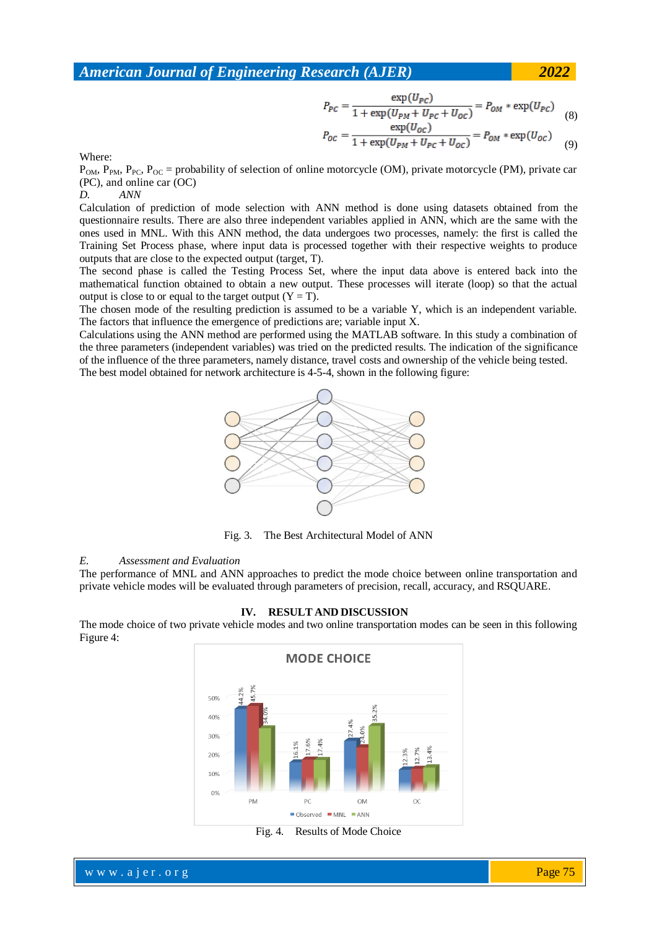$$
P_{PC} = \frac{\exp(U_{PC})}{1 + \exp(U_{PM} + U_{PC} + U_{OC})} = P_{OM} * \exp(U_{PC})
$$
(8)

$$
P_{OC} = \frac{\exp(U_{OC})}{1 + \exp(U_{PM} + U_{PC} + U_{OC})} = P_{OM} * \exp(U_{OC})
$$
 (9)

Where:

 $P_{OM}$ ,  $P_{PM}$ ,  $P_{PC}$ ,  $P_{OC}$  = probability of selection of online motorcycle (OM), private motorcycle (PM), private car (PC), and online car (OC)

### *D. ANN*

Calculation of prediction of mode selection with ANN method is done using datasets obtained from the questionnaire results. There are also three independent variables applied in ANN, which are the same with the ones used in MNL. With this ANN method, the data undergoes two processes, namely: the first is called the Training Set Process phase, where input data is processed together with their respective weights to produce outputs that are close to the expected output (target, T).

The second phase is called the Testing Process Set, where the input data above is entered back into the mathematical function obtained to obtain a new output. These processes will iterate (loop) so that the actual output is close to or equal to the target output  $(Y = T)$ .

The chosen mode of the resulting prediction is assumed to be a variable Y, which is an independent variable. The factors that influence the emergence of predictions are; variable input X.

Calculations using the ANN method are performed using the MATLAB software. In this study a combination of the three parameters (independent variables) was tried on the predicted results. The indication of the significance of the influence of the three parameters, namely distance, travel costs and ownership of the vehicle being tested. The best model obtained for network architecture is 4-5-4, shown in the following figure:



Fig. 3. The Best Architectural Model of ANN

### *E. Assessment and Evaluation*

The performance of MNL and ANN approaches to predict the mode choice between online transportation and private vehicle modes will be evaluated through parameters of precision, recall, accuracy, and RSQUARE.

#### **IV. RESULT AND DISCUSSION**

The mode choice of two private vehicle modes and two online transportation modes can be seen in this following Figure 4:



Fig. 4. Results of Mode Choice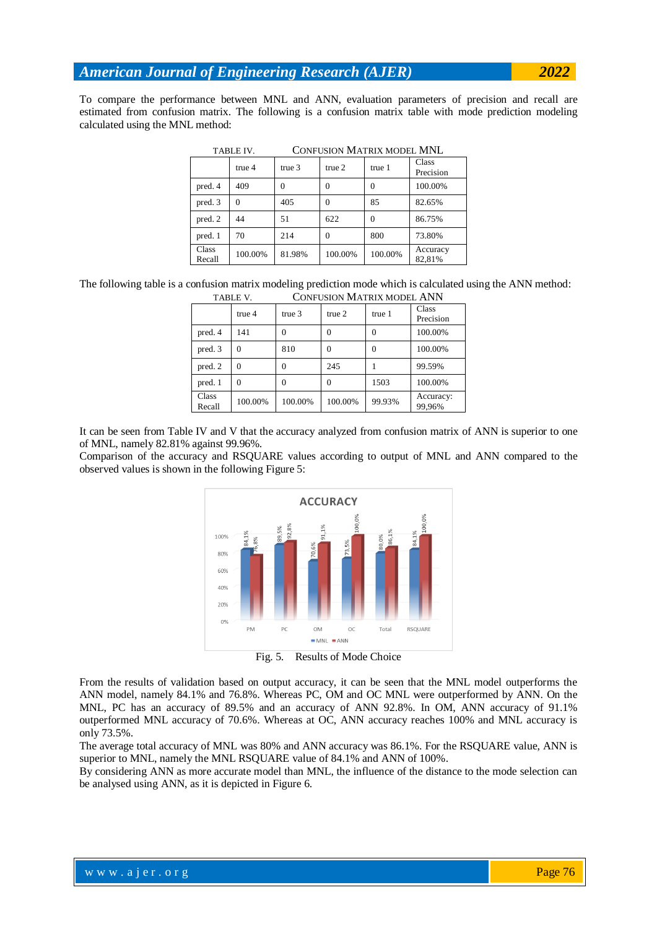To compare the performance between MNL and ANN, evaluation parameters of precision and recall are estimated from confusion matrix. The following is a confusion matrix table with mode prediction modeling calculated using the MNL method:

| TABLE IV.       |                   | CONFUSION MATRIX MODEL MNL |                   |          |                    |  |
|-----------------|-------------------|----------------------------|-------------------|----------|--------------------|--|
|                 | true <sub>4</sub> | true <sub>3</sub>          | true <sub>2</sub> | true 1   | Class<br>Precision |  |
| pred. 4         | 409               | $\Omega$                   | $\Omega$          | $\Omega$ | 100.00%            |  |
| pred. 3         | $\Omega$          | 405                        | $\Omega$          | 85       | 82.65%             |  |
| pred. 2         | 44                | 51                         | 622               | $\Omega$ | 86.75%             |  |
| pred. 1         | 70                | 214                        | $\Omega$          | 800      | 73.80%             |  |
| Class<br>Recall | 100.00%           | 81.98%                     | 100.00%           | 100.00%  | Accuracy<br>82,81% |  |

TABLE IV. CONFUSION MATRIX MODEL MNL

The following table is a confusion matrix modeling prediction mode which is calculated using the ANN method: TABLE V. CONFUSION MATRIX MODEL ANN

| IADLE V.        |          | CONFOSION MIATRIA MODEL APPE |                   |        |                     |  |
|-----------------|----------|------------------------------|-------------------|--------|---------------------|--|
|                 | true 4   | true <sub>3</sub>            | true <sub>2</sub> | true 1 | Class<br>Precision  |  |
| pred. 4         | 141      | 0                            |                   |        | 100.00%             |  |
| pred. 3         | 0        | 810                          | 0                 | 0      | 100.00%             |  |
| pred. 2         | 0        | 0                            | 245               |        | 99.59%              |  |
| pred. 1         | $\Omega$ | 0                            | 0                 | 1503   | 100.00%             |  |
| Class<br>Recall | 100.00%  | 100.00%                      | 100.00%           | 99.93% | Accuracy:<br>99,96% |  |

It can be seen from Table IV and V that the accuracy analyzed from confusion matrix of ANN is superior to one of MNL, namely 82.81% against 99.96%.

Comparison of the accuracy and RSQUARE values according to output of MNL and ANN compared to the observed values is shown in the following Figure 5:



Fig. 5. Results of Mode Choice

From the results of validation based on output accuracy, it can be seen that the MNL model outperforms the ANN model, namely 84.1% and 76.8%. Whereas PC, OM and OC MNL were outperformed by ANN. On the MNL, PC has an accuracy of 89.5% and an accuracy of ANN 92.8%. In OM, ANN accuracy of 91.1% outperformed MNL accuracy of 70.6%. Whereas at OC, ANN accuracy reaches 100% and MNL accuracy is only 73.5%.

The average total accuracy of MNL was 80% and ANN accuracy was 86.1%. For the RSQUARE value, ANN is superior to MNL, namely the MNL RSQUARE value of 84.1% and ANN of 100%.

By considering ANN as more accurate model than MNL, the influence of the distance to the mode selection can be analysed using ANN, as it is depicted in Figure 6.

where  $\mathcal{L} = \mathcal{L} \left( \mathcal{L} \right)$  is the set of  $\mathcal{L} \left( \mathcal{L} \right)$ 

Page 76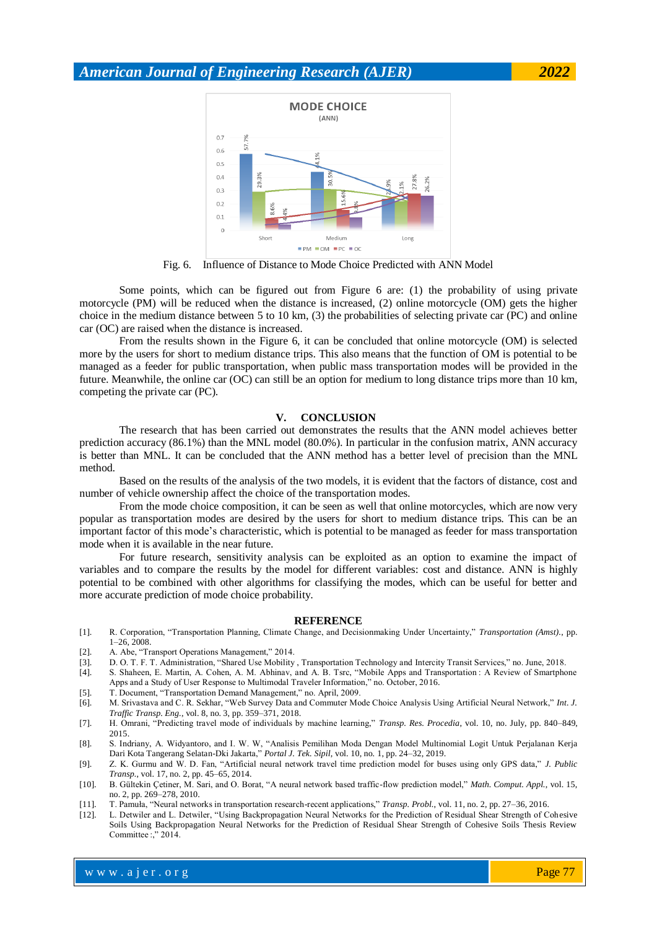

Fig. 6. Influence of Distance to Mode Choice Predicted with ANN Model

Some points, which can be figured out from Figure 6 are: (1) the probability of using private motorcycle (PM) will be reduced when the distance is increased, (2) online motorcycle (OM) gets the higher choice in the medium distance between 5 to 10 km, (3) the probabilities of selecting private car (PC) and online car (OC) are raised when the distance is increased.

From the results shown in the Figure 6, it can be concluded that online motorcycle (OM) is selected more by the users for short to medium distance trips. This also means that the function of OM is potential to be managed as a feeder for public transportation, when public mass transportation modes will be provided in the future. Meanwhile, the online car (OC) can still be an option for medium to long distance trips more than 10 km, competing the private car (PC).

### **V. CONCLUSION**

The research that has been carried out demonstrates the results that the ANN model achieves better prediction accuracy (86.1%) than the MNL model (80.0%). In particular in the confusion matrix, ANN accuracy is better than MNL. It can be concluded that the ANN method has a better level of precision than the MNL method.

Based on the results of the analysis of the two models, it is evident that the factors of distance, cost and number of vehicle ownership affect the choice of the transportation modes.

From the mode choice composition, it can be seen as well that online motorcycles, which are now very popular as transportation modes are desired by the users for short to medium distance trips. This can be an important factor of this mode's characteristic, which is potential to be managed as feeder for mass transportation mode when it is available in the near future.

For future research, sensitivity analysis can be exploited as an option to examine the impact of variables and to compare the results by the model for different variables: cost and distance. ANN is highly potential to be combined with other algorithms for classifying the modes, which can be useful for better and more accurate prediction of mode choice probability.

#### **REFERENCE**

- [1]. R. Corporation, "Transportation Planning, Climate Change, and Decisionmaking Under Uncertainty," *Transportation (Amst).*, pp. 1–26, 2008.
- [2]. A. Abe, "Transport Operations Management," 2014.
- [3]. D. O. T. F. T. Administration, "Shared Use Mobility , Transportation Technology and Intercity Transit Services," no. June, 2018.
- [4]. S. Shaheen, E. Martin, A. Cohen, A. M. Abhinav, and A. B. Tsrc, "Mobile Apps and Transportation : A Review of Smartphone Apps and a Study of User Response to Multimodal Traveler Information," no. October, 2016.
- [5]. T. Document, "Transportation Demand Management," no. April, 2009.
- [6]. M. Srivastava and C. R. Sekhar, "Web Survey Data and Commuter Mode Choice Analysis Using Artificial Neural Network," *Int. J. Traffic Transp. Eng.*, vol. 8, no. 3, pp. 359–371, 2018.
- [7]. H. Omrani, "Predicting travel mode of individuals by machine learning," *Transp. Res. Procedia*, vol. 10, no. July, pp. 840–849, 2015.
- [8]. S. Indriany, A. Widyantoro, and I. W. W, "Analisis Pemilihan Moda Dengan Model Multinomial Logit Untuk Perjalanan Kerja Dari Kota Tangerang Selatan-Dki Jakarta," *Portal J. Tek. Sipil*, vol. 10, no. 1, pp. 24–32, 2019.
- [9]. Z. K. Gurmu and W. D. Fan, "Artificial neural network travel time prediction model for buses using only GPS data," *J. Public Transp.*, vol. 17, no. 2, pp. 45–65, 2014.
- [10]. B. Gültekin Çetiner, M. Sari, and O. Borat, "A neural network based traffic-flow prediction model," *Math. Comput. Appl.*, vol. 15, no. 2, pp. 269–278, 2010.
- [11]. T. Pamuła, "Neural networks in transportation research-recent applications," *Transp. Probl.*, vol. 11, no. 2, pp. 27–36, 2016.

where  $\mathcal{L} = \mathcal{L} \left( \mathcal{L} \right)$  is the set of  $\mathcal{L} \left( \mathcal{L} \right)$ 

[12]. L. Detwiler and L. Detwiler, "Using Backpropagation Neural Networks for the Prediction of Residual Shear Strength of Cohesive Soils Using Backpropagation Neural Networks for the Prediction of Residual Shear Strength of Cohesive Soils Thesis Review Committee :," 2014.